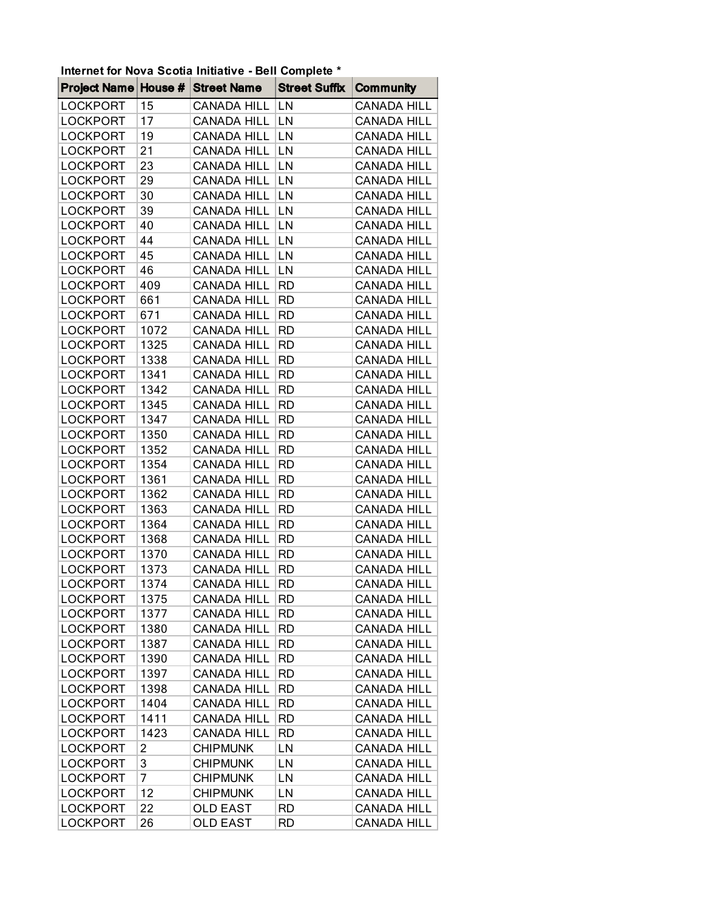## **Internet for Nova Scotia Initiative - Bell Complete \***

| <b>Project Name House #</b> |                | <b>Street Name</b> | <b>Street Suffix</b> | <b>Community</b>   |
|-----------------------------|----------------|--------------------|----------------------|--------------------|
| <b>LOCKPORT</b>             | 15             | <b>CANADA HILL</b> | LN                   | <b>CANADA HILL</b> |
| <b>LOCKPORT</b>             | 17             | <b>CANADA HILL</b> | LN                   | CANADA HILL        |
| <b>LOCKPORT</b>             | 19             | <b>CANADA HILL</b> | LN                   | <b>CANADA HILL</b> |
| <b>LOCKPORT</b>             | 21             | <b>CANADA HILL</b> | LN                   | <b>CANADA HILL</b> |
| <b>LOCKPORT</b>             | 23             | <b>CANADA HILL</b> | LN                   | <b>CANADA HILL</b> |
| <b>LOCKPORT</b>             | 29             | <b>CANADA HILL</b> | LN                   | <b>CANADA HILL</b> |
| <b>LOCKPORT</b>             | 30             | <b>CANADA HILL</b> | LN                   | <b>CANADA HILL</b> |
| <b>LOCKPORT</b>             | 39             | <b>CANADA HILL</b> | LN                   | <b>CANADA HILL</b> |
| <b>LOCKPORT</b>             | 40             | <b>CANADA HILL</b> | LN                   | <b>CANADA HILL</b> |
| <b>LOCKPORT</b>             | 44             | <b>CANADA HILL</b> | LN                   | <b>CANADA HILL</b> |
| <b>LOCKPORT</b>             | 45             | <b>CANADA HILL</b> | LN                   | <b>CANADA HILL</b> |
| <b>LOCKPORT</b>             | 46             | <b>CANADA HILL</b> | LN                   | <b>CANADA HILL</b> |
| <b>LOCKPORT</b>             | 409            | <b>CANADA HILL</b> | <b>RD</b>            | CANADA HILL        |
| <b>LOCKPORT</b>             | 661            | <b>CANADA HILL</b> | <b>RD</b>            | <b>CANADA HILL</b> |
| <b>LOCKPORT</b>             | 671            | <b>CANADA HILL</b> | <b>RD</b>            | <b>CANADA HILL</b> |
| <b>LOCKPORT</b>             | 1072           | <b>CANADA HILL</b> | <b>RD</b>            | <b>CANADA HILL</b> |
| <b>LOCKPORT</b>             | 1325           | <b>CANADA HILL</b> | <b>RD</b>            | <b>CANADA HILL</b> |
| <b>LOCKPORT</b>             | 1338           | <b>CANADA HILL</b> | <b>RD</b>            | <b>CANADA HILL</b> |
| <b>LOCKPORT</b>             | 1341           | <b>CANADA HILL</b> | <b>RD</b>            | <b>CANADA HILL</b> |
| <b>LOCKPORT</b>             | 1342           | <b>CANADA HILL</b> | <b>RD</b>            | <b>CANADA HILL</b> |
| <b>LOCKPORT</b>             | 1345           | <b>CANADA HILL</b> | <b>RD</b>            | <b>CANADA HILL</b> |
| <b>LOCKPORT</b>             | 1347           | <b>CANADA HILL</b> | <b>RD</b>            | <b>CANADA HILL</b> |
| <b>LOCKPORT</b>             | 1350           | <b>CANADA HILL</b> | <b>RD</b>            | <b>CANADA HILL</b> |
| <b>LOCKPORT</b>             | 1352           | <b>CANADA HILL</b> | <b>RD</b>            | <b>CANADA HILL</b> |
| <b>LOCKPORT</b>             | 1354           | <b>CANADA HILL</b> | <b>RD</b>            | CANADA HILL        |
| <b>LOCKPORT</b>             | 1361           | <b>CANADA HILL</b> | <b>RD</b>            | <b>CANADA HILL</b> |
| <b>LOCKPORT</b>             | 1362           | <b>CANADA HILL</b> | <b>RD</b>            | <b>CANADA HILL</b> |
| <b>LOCKPORT</b>             | 1363           | <b>CANADA HILL</b> | <b>RD</b>            | <b>CANADA HILL</b> |
| <b>LOCKPORT</b>             | 1364           | <b>CANADA HILL</b> | <b>RD</b>            | <b>CANADA HILL</b> |
| <b>LOCKPORT</b>             | 1368           | <b>CANADA HILL</b> | <b>RD</b>            | <b>CANADA HILL</b> |
| <b>LOCKPORT</b>             | 1370           | <b>CANADA HILL</b> | <b>RD</b>            | <b>CANADA HILL</b> |
| <b>LOCKPORT</b>             | 1373           | <b>CANADA HILL</b> | <b>RD</b>            | <b>CANADA HILL</b> |
| <b>LOCKPORT</b>             | 1374           | <b>CANADA HILL</b> | <b>RD</b>            | CANADA HILL        |
| <b>LOCKPORT</b>             | 1375           | <b>CANADA HILL</b> | <b>RD</b>            | <b>CANADA HILL</b> |
| <b>LOCKPORT</b>             | 1377           | <b>CANADA HILL</b> | <b>RD</b>            | <b>CANADA HILL</b> |
| <b>LOCKPORT</b>             | 1380           | <b>CANADA HILL</b> | <b>RD</b>            | CANADA HILL        |
| <b>LOCKPORT</b>             | 1387           | <b>CANADA HILL</b> | <b>RD</b>            | CANADA HILL        |
| <b>LOCKPORT</b>             | 1390           | <b>CANADA HILL</b> | <b>RD</b>            | <b>CANADA HILL</b> |
| <b>LOCKPORT</b>             | 1397           | <b>CANADA HILL</b> | <b>RD</b>            | <b>CANADA HILL</b> |
| <b>LOCKPORT</b>             | 1398           | <b>CANADA HILL</b> | <b>RD</b>            | <b>CANADA HILL</b> |
| <b>LOCKPORT</b>             | 1404           | <b>CANADA HILL</b> | <b>RD</b>            | <b>CANADA HILL</b> |
| <b>LOCKPORT</b>             | 1411           | <b>CANADA HILL</b> | <b>RD</b>            | <b>CANADA HILL</b> |
| <b>LOCKPORT</b>             | 1423           | <b>CANADA HILL</b> | <b>RD</b>            | CANADA HILL        |
| <b>LOCKPORT</b>             | $\overline{c}$ | <b>CHIPMUNK</b>    | LN                   | <b>CANADA HILL</b> |
| <b>LOCKPORT</b>             | 3              | <b>CHIPMUNK</b>    | LN                   | <b>CANADA HILL</b> |
| <b>LOCKPORT</b>             | 7              | <b>CHIPMUNK</b>    |                      | <b>CANADA HILL</b> |
|                             |                |                    | LN                   |                    |
| <b>LOCKPORT</b>             | 12             | <b>CHIPMUNK</b>    | LN                   | <b>CANADA HILL</b> |
| <b>LOCKPORT</b>             | 22             | OLD EAST           | <b>RD</b>            | <b>CANADA HILL</b> |
| <b>LOCKPORT</b>             | 26             | <b>OLD EAST</b>    | <b>RD</b>            | CANADA HILL        |